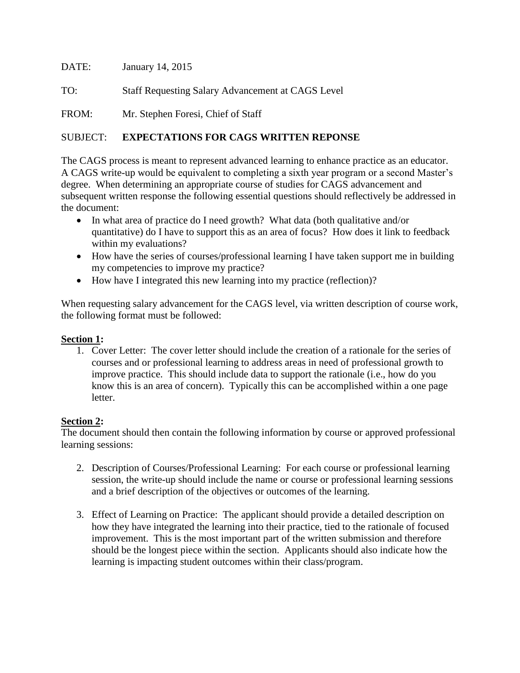DATE: January 14, 2015 TO: Staff Requesting Salary Advancement at CAGS Level FROM: Mr. Stephen Foresi, Chief of Staff

## SUBJECT: **EXPECTATIONS FOR CAGS WRITTEN REPONSE**

The CAGS process is meant to represent advanced learning to enhance practice as an educator. A CAGS write-up would be equivalent to completing a sixth year program or a second Master's degree. When determining an appropriate course of studies for CAGS advancement and subsequent written response the following essential questions should reflectively be addressed in the document:

- In what area of practice do I need growth? What data (both qualitative and/or quantitative) do I have to support this as an area of focus? How does it link to feedback within my evaluations?
- How have the series of courses/professional learning I have taken support me in building my competencies to improve my practice?
- How have I integrated this new learning into my practice (reflection)?

When requesting salary advancement for the CAGS level, via written description of course work, the following format must be followed:

## **Section 1:**

1. Cover Letter: The cover letter should include the creation of a rationale for the series of courses and or professional learning to address areas in need of professional growth to improve practice. This should include data to support the rationale (i.e., how do you know this is an area of concern). Typically this can be accomplished within a one page letter.

## **Section 2:**

The document should then contain the following information by course or approved professional learning sessions:

- 2. Description of Courses/Professional Learning: For each course or professional learning session, the write-up should include the name or course or professional learning sessions and a brief description of the objectives or outcomes of the learning.
- 3. Effect of Learning on Practice: The applicant should provide a detailed description on how they have integrated the learning into their practice, tied to the rationale of focused improvement. This is the most important part of the written submission and therefore should be the longest piece within the section. Applicants should also indicate how the learning is impacting student outcomes within their class/program.